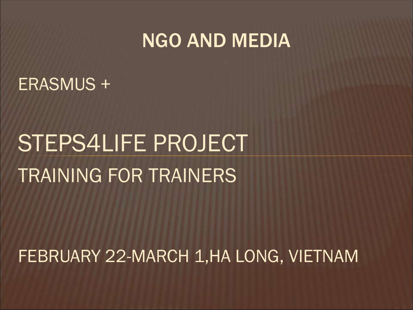### NGO AND MEDIA

### ERASMUS +

# STEPS4LIFE PROJECT TRAINING FOR TRAINERS

### FEBRUARY 22-MARCH 1, HA LONG, VIETNAM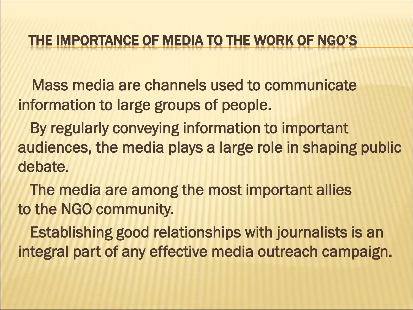#### THE IMPORTANCE OF MEDIA TO THE WORK OF NGO'S

Mass media are channels used to communicate information to large groups of people.

By regularly conveying information to important audiences, the media plays a large role in shaping public debate.

The media are among the most important allies to the NGO community.

Establishing good relationships with journalists is an integral part of any effective media outreach campaign.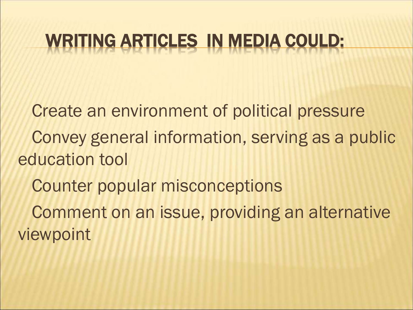### WRITING ARTICLES IN MEDIA COULD:

Create an environment of political pressure Convey general information, serving as a public education tool Counter popular misconceptions Comment on an issue, providing an alternative viewpoint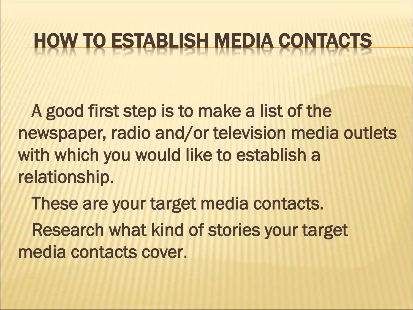A good first step is to make a list of the newspaper, radio and/or television media outlets with which you would like to establish a relationship.

These are your target media contacts. Research what kind of stories your target media contacts cover.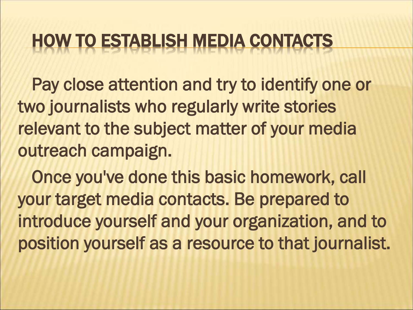Pay close attention and try to identify one or two journalists who regularly write stories relevant to the subject matter of your media outreach campaign.

Once you've done this basic homework, call your target media contacts. Be prepared to introduce yourself and your organization, and to position yourself as a resource to that journalist.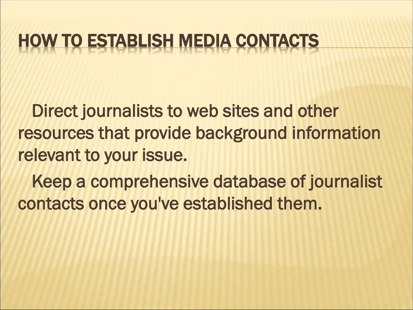Direct journalists to web sites and other resources that provide background information relevant to your issue.

Keep a comprehensive database of journalist contacts once you've established them.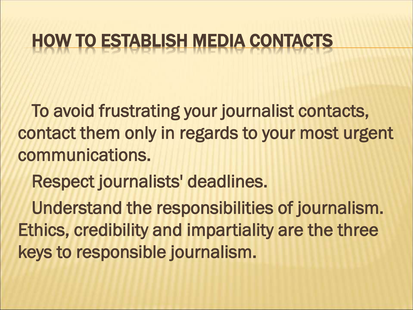To avoid frustrating your journalist contacts, contact them only in regards to your most urgent communications.

Respect journalists' deadlines.

Understand the responsibilities of journalism. Ethics, credibility and impartiality are the three keys to responsible journalism.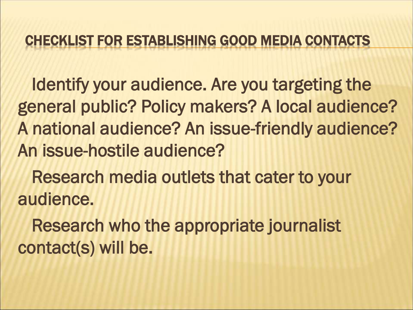#### CHECKLIST FOR ESTABLISHING GOOD MEDIA CONTACTS

Identify your audience. Are you targeting the general public? Policy makers? A local audience? A national audience? An issue-friendly audience? An issue-hostile audience?

Research media outlets that cater to your audience.

Research who the appropriate journalist contact(s) will be.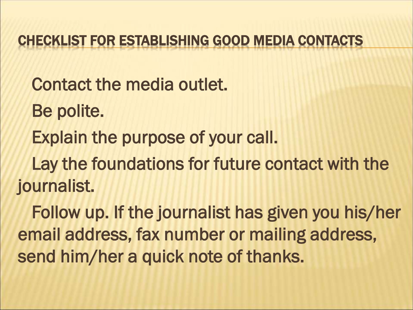### CHECKLIST FOR ESTABLISHING GOOD MEDIA CONTACTS

Contact the media outlet.

- Be polite.
- Explain the purpose of your call.

Lay the foundations for future contact with the journalist.

Follow up. If the journalist has given you his/her email address, fax number or mailing address, send him/her a quick note of thanks.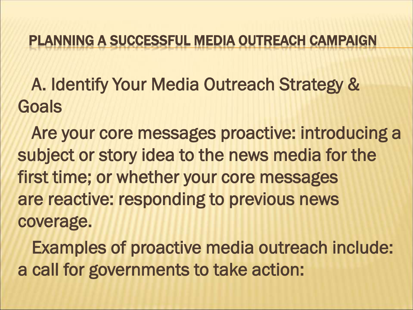A. Identify Your Media Outreach Strategy & **Goals** 

Are your core messages proactive: introducing a subject or story idea to the news media for the first time; or whether your core messages are reactive: responding to previous news coverage.

Examples of proactive media outreach include: a call for governments to take action: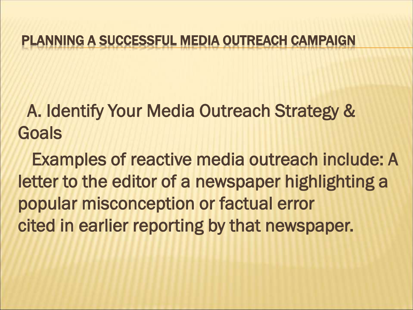A. Identify Your Media Outreach Strategy & **Goals** 

Examples of reactive media outreach include: A letter to the editor of a newspaper highlighting a popular misconception or factual error cited in earlier reporting by that newspaper.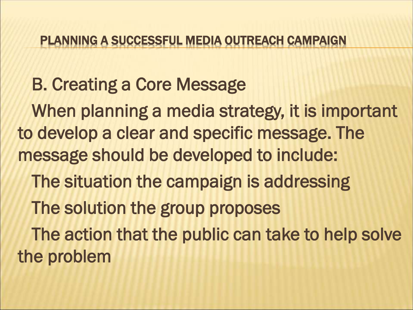### B. Creating a Core Message

When planning a media strategy, it is important to develop a clear and specific message. The message should be developed to include: The situation the campaign is addressing The solution the group proposes The action that the public can take to help solve the problem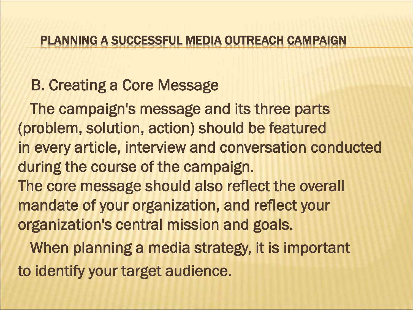#### B. Creating a Core Message

The campaign's message and its three parts (problem, solution, action) should be featured in every article, interview and conversation conducted during the course of the campaign. The core message should also reflect the overall mandate of your organization, and reflect your

organization's central mission and goals.

When planning a media strategy, it is important to identify your target audience.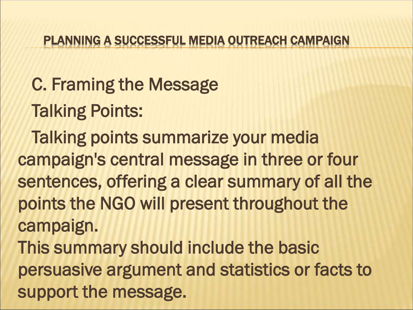- C. Framing the Message
- Talking Points:

Talking points summarize your media campaign's central message in three or four sentences, offering a clear summary of all the points the NGO will present throughout the campaign. This summary should include the basic

persuasive argument and statistics or facts to support the message.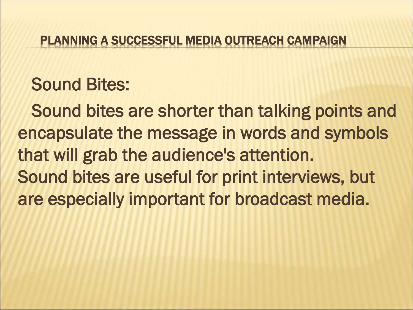### Sound Bites:

Sound bites are shorter than talking points and encapsulate the message in words and symbols that will grab the audience's attention. Sound bites are useful for print interviews, but are especially important for broadcast media.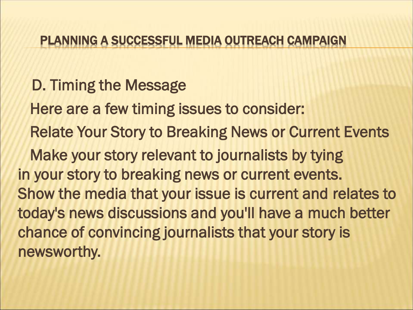### D. Timing the Message

Here are a few timing issues to consider:

Relate Your Story to Breaking News or Current Events

Make your story relevant to journalists by tying in your story to breaking news or current events. Show the media that your issue is current and relates to today's news discussions and you'll have a much better chance of convincing journalists that your story is newsworthy.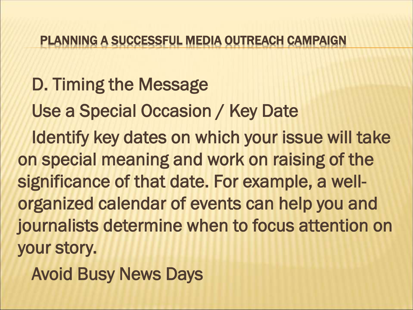D. Timing the Message Use a Special Occasion / Key Date Identify key dates on which your issue will take on special meaning and work on raising of the significance of that date. For example, a wellorganized calendar of events can help you and journalists determine when to focus attention on your story.

Avoid Busy News Days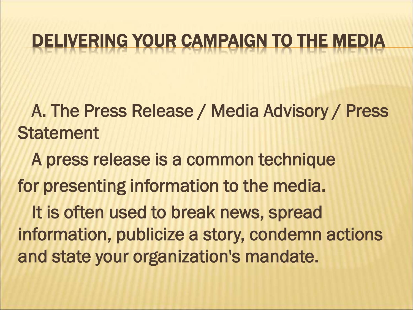### DELIVERING YOUR CAMPAIGN TO THE MEDIA

A. The Press Release / Media Advisory / Press **Statement** 

A press release is a common technique for presenting information to the media. It is often used to break news, spread information, publicize a story, condemn actions and state your organization's mandate.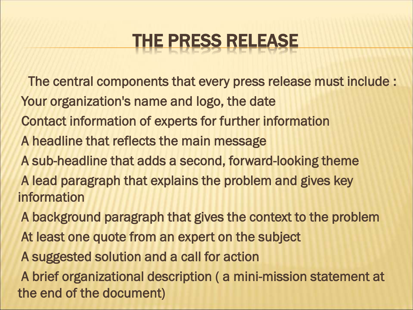### THE PRESS RELEASE

- The central components that every press release must include :
- Your organization's name and logo, the date
- Contact information of experts for further information
- A headline that reflects the main message
- A sub-headline that adds a second, forward-looking theme
- A lead paragraph that explains the problem and gives key information
- A background paragraph that gives the context to the problem
- At least one quote from an expert on the subject
- A suggested solution and a call for action
- A brief organizational description ( a mini-mission statement at the end of the document)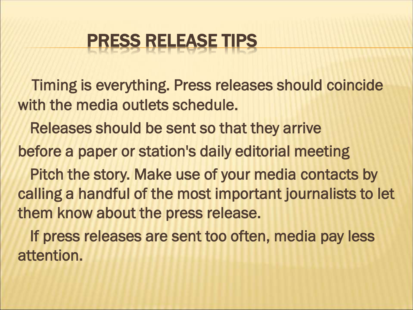### PRESS RELEASE TIPS

Timing is everything. Press releases should coincide with the media outlets schedule. Releases should be sent so that they arrive before a paper or station's daily editorial meeting Pitch the story. Make use of your media contacts by calling a handful of the most important journalists to let them know about the press release.

If press releases are sent too often, media pay less attention.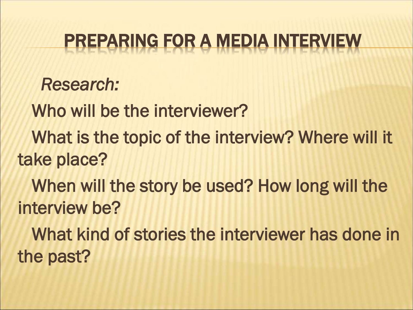## PREPARING FOR A MEDIA INTERVIEW

### *Research:*

Who will be the interviewer? What is the topic of the interview? Where will it take place? When will the story be used? How long will the interview be? What kind of stories the interviewer has done in

the past?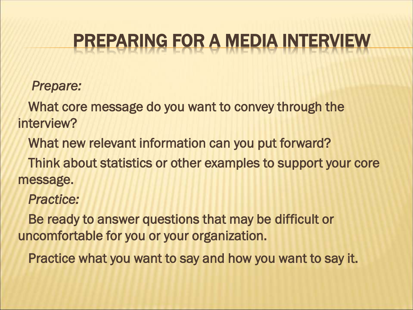## PREPARING FOR A MEDIA INTERVIEW

#### *Prepare:*

What core message do you want to convey through the interview?

What new relevant information can you put forward?

Think about statistics or other examples to support your core message.

*Practice:*

Be ready to answer questions that may be difficult or uncomfortable for you or your organization.

Practice what you want to say and how you want to say it.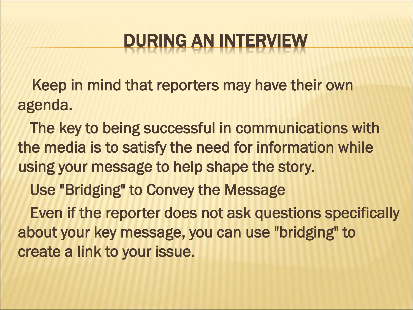## DURING AN INTERVIEW

Keep in mind that reporters may have their own agenda.

The key to being successful in communications with the media is to satisfy the need for information while using your message to help shape the story.

Use "Bridging" to Convey the Message

Even if the reporter does not ask questions specifically about your key message, you can use "bridging" to create a link to your issue.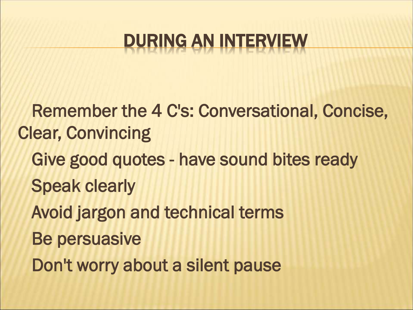## DURING AN INTERVIEW

Remember the 4 C's: Conversational, Concise, Clear, Convincing Give good quotes - have sound bites ready Speak clearly Avoid jargon and technical terms Be persuasive Don't worry about a silent pause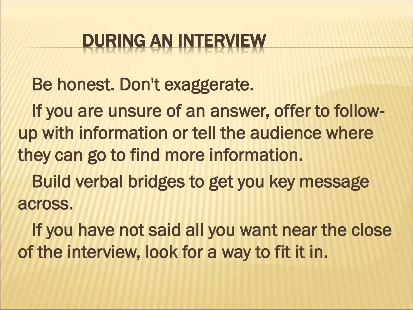## DURING AN INTERVIEW

Be honest. Don't exaggerate.

If you are unsure of an answer, offer to followup with information or tell the audience where they can go to find more information.

Build verbal bridges to get you key message across.

If you have not said all you want near the close of the interview, look for a way to fit it in.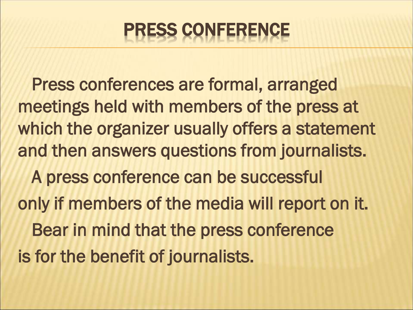## **ESS CONFERENCE**

Press conferences are formal, arranged meetings held with members of the press at which the organizer usually offers a statement and then answers questions from journalists. A press conference can be successful only if members of the media will report on it. Bear in mind that the press conference is for the benefit of journalists.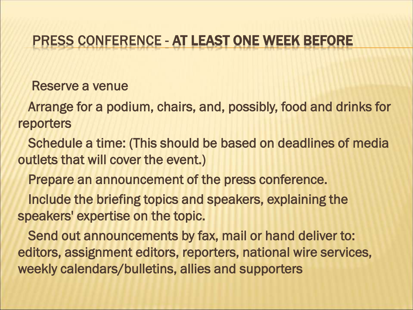#### PRESS CONFERENCE - AT LEAST ONE WEEK BEFORE

Reserve a venue

Arrange for a podium, chairs, and, possibly, food and drinks for reporters

Schedule a time: (This should be based on deadlines of media outlets that will cover the event.)

Prepare an announcement of the press conference.

Include the briefing topics and speakers, explaining the speakers' expertise on the topic.

Send out announcements by fax, mail or hand deliver to: editors, assignment editors, reporters, national wire services, weekly calendars/bulletins, allies and supporters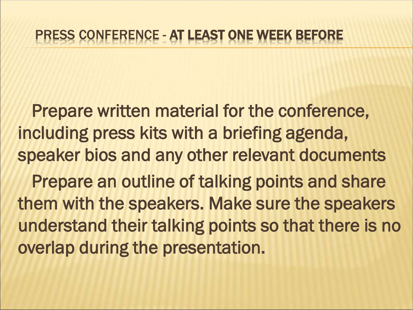#### PRESS CONFERENCE - AT LEAST ONE WEEK BEFORE

Prepare written material for the conference, including press kits with a briefing agenda, speaker bios and any other relevant documents

Prepare an outline of talking points and share them with the speakers. Make sure the speakers understand their talking points so that there is no overlap during the presentation.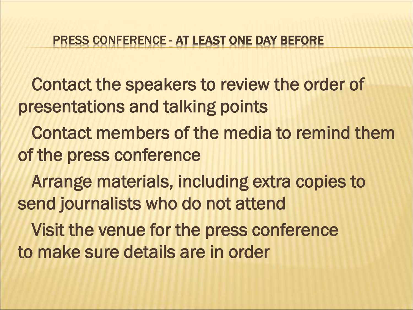#### PRESS CONFERENCE - AT LEAST ONE DAY BEFORE

Contact the speakers to review the order of presentations and talking points

Contact members of the media to remind them of the press conference

Arrange materials, including extra copies to send journalists who do not attend

Visit the venue for the press conference to make sure details are in order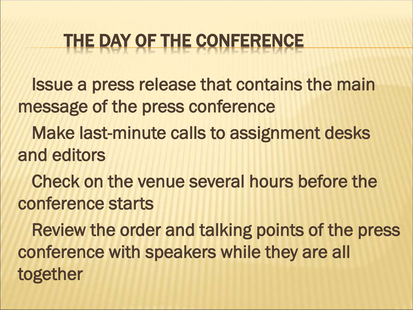## THE DAY OF THE CONFERENCE

Issue a press release that contains the main message of the press conference

- Make last-minute calls to assignment desks and editors
- Check on the venue several hours before the conference starts

Review the order and talking points of the press conference with speakers while they are all together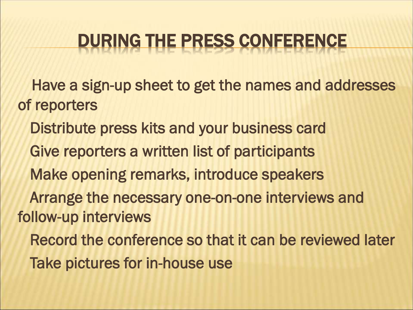### DURING THE PRESS CONFERENCE

Have a sign-up sheet to get the names and addresses of reporters

- Distribute press kits and your business card
- Give reporters a written list of participants
- Make opening remarks, introduce speakers

Arrange the necessary one-on-one interviews and follow-up interviews

Record the conference so that it can be reviewed later Take pictures for in-house use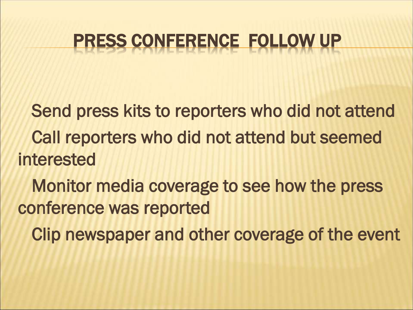### PRESS CONFERENCE FOLLOW UP

Send press kits to reporters who did not attend Call reporters who did not attend but seemed interested

Monitor media coverage to see how the press conference was reported

Clip newspaper and other coverage of the event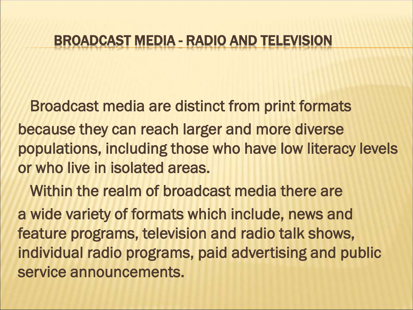#### BROADCAST MEDIA - RADIO AND TELEVISION

Broadcast media are distinct from print formats because they can reach larger and more diverse populations, including those who have low literacy levels or who live in isolated areas.

Within the realm of broadcast media there are a wide variety of formats which include, news and feature programs, television and radio talk shows, individual radio programs, paid advertising and public service announcements.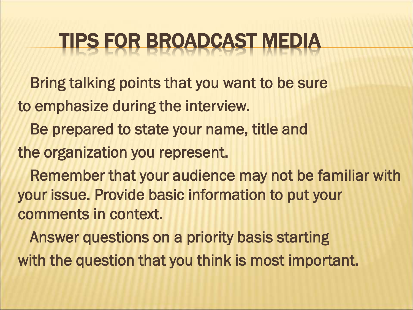# TIPS FOR BROADCAST MEDIA

Bring talking points that you want to be sure

to emphasize during the interview.

Be prepared to state your name, title and

the organization you represent.

Remember that your audience may not be familiar with your issue. Provide basic information to put your comments in context.

Answer questions on a priority basis starting with the question that you think is most important.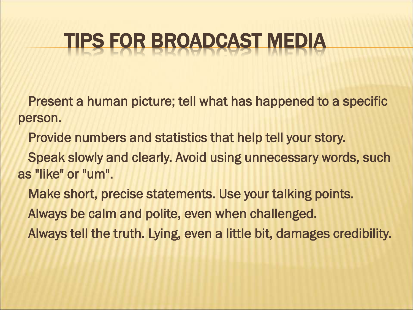# TIPS FOR BROADCAST MEDIA

Present a human picture; tell what has happened to a specific person.

Provide numbers and statistics that help tell your story.

Speak slowly and clearly. Avoid using unnecessary words, such as "like" or "um".

Make short, precise statements. Use your talking points. Always be calm and polite, even when challenged. Always tell the truth. Lying, even a little bit, damages credibility.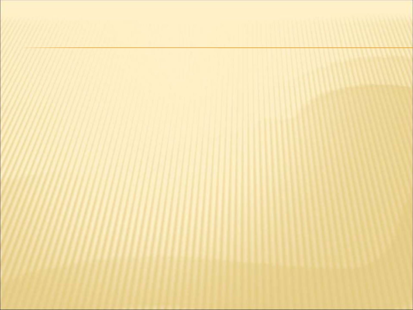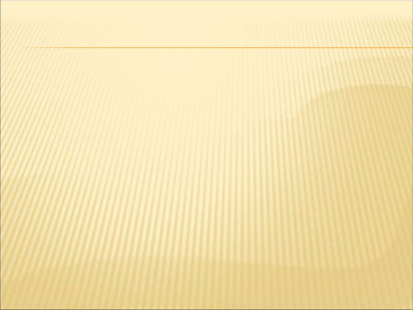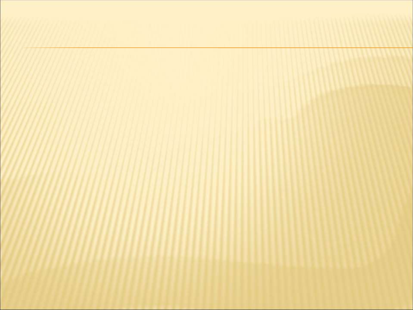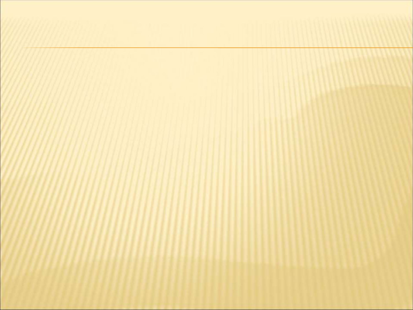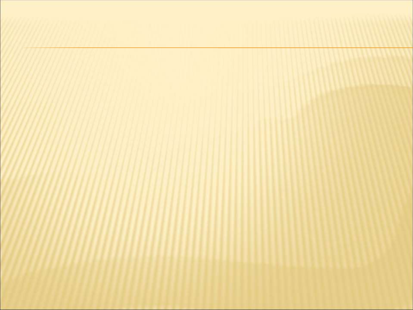